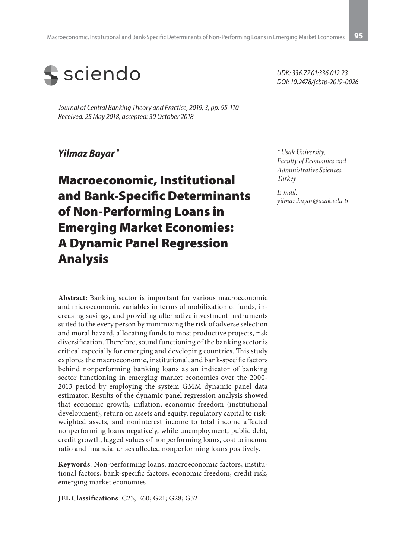

*Journal of Central Banking Theory and Practice, 2019, 3, pp. 95-110 Received: 25 May 2018; accepted: 30 October 2018*

#### *Yilmaz Bayar \**

# Macroeconomic, Institutional and Bank-Specific Determinants of Non-Performing Loans in Emerging Market Economies: A Dynamic Panel Regression Analysis

**Abstract:** Banking sector is important for various macroeconomic and microeconomic variables in terms of mobilization of funds, increasing savings, and providing alternative investment instruments suited to the every person by minimizing the risk of adverse selection and moral hazard, allocating funds to most productive projects, risk diversification. Therefore, sound functioning of the banking sector is critical especially for emerging and developing countries. This study explores the macroeconomic, institutional, and bank-specific factors behind nonperforming banking loans as an indicator of banking sector functioning in emerging market economies over the 2000- 2013 period by employing the system GMM dynamic panel data estimator. Results of the dynamic panel regression analysis showed that economic growth, inflation, economic freedom (institutional development), return on assets and equity, regulatory capital to riskweighted assets, and noninterest income to total income affected nonperforming loans negatively, while unemployment, public debt, credit growth, lagged values of nonperforming loans, cost to income ratio and financial crises affected nonperforming loans positively.

**Keywords**: Non-performing loans, macroeconomic factors, institutional factors, bank-specific factors, economic freedom, credit risk, emerging market economies

**JEL Classifications**: C23; E60; G21; G28; G32

*UDK: 336.77.01:336.012.23 DOI: 10.2478/jcbtp-2019-0026*

*\* Usak University, Faculty of Economics and Administrative Sciences, Turkey*

*E-mail: yilmaz.bayar@usak.edu.tr*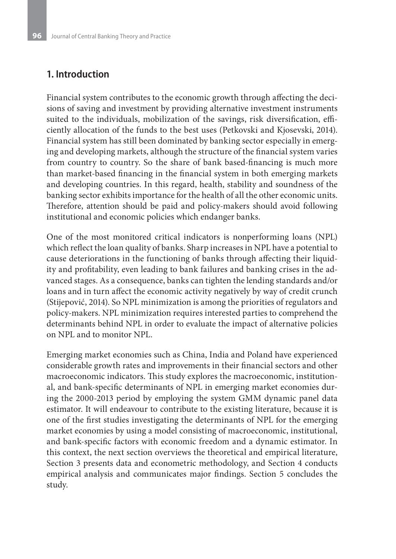# **1. Introduction**

Financial system contributes to the economic growth through affecting the decisions of saving and investment by providing alternative investment instruments suited to the individuals, mobilization of the savings, risk diversification, efficiently allocation of the funds to the best uses (Petkovski and Kjosevski, 2014). Financial system has still been dominated by banking sector especially in emerging and developing markets, although the structure of the financial system varies from country to country. So the share of bank based-financing is much more than market-based financing in the financial system in both emerging markets and developing countries. In this regard, health, stability and soundness of the banking sector exhibits importance for the health of all the other economic units. Therefore, attention should be paid and policy-makers should avoid following institutional and economic policies which endanger banks.

One of the most monitored critical indicators is nonperforming loans (NPL) which reflect the loan quality of banks. Sharp increases in NPL have a potential to cause deteriorations in the functioning of banks through affecting their liquidity and profitability, even leading to bank failures and banking crises in the advanced stages. As a consequence, banks can tighten the lending standards and/or loans and in turn affect the economic activity negatively by way of credit crunch (Stijepović, 2014). So NPL minimization is among the priorities of regulators and policy-makers. NPL minimization requires interested parties to comprehend the determinants behind NPL in order to evaluate the impact of alternative policies on NPL and to monitor NPL.

Emerging market economies such as China, India and Poland have experienced considerable growth rates and improvements in their financial sectors and other macroeconomic indicators. This study explores the macroeconomic, institutional, and bank-specific determinants of NPL in emerging market economies during the 2000-2013 period by employing the system GMM dynamic panel data estimator. It will endeavour to contribute to the existing literature, because it is one of the first studies investigating the determinants of NPL for the emerging market economies by using a model consisting of macroeconomic, institutional, and bank-specific factors with economic freedom and a dynamic estimator. In this context, the next section overviews the theoretical and empirical literature, Section 3 presents data and econometric methodology, and Section 4 conducts empirical analysis and communicates major findings. Section 5 concludes the study.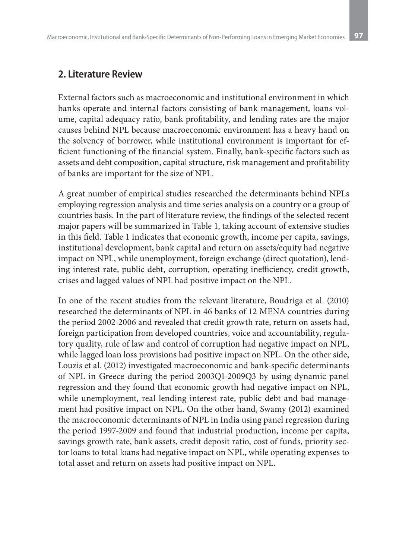### **2. Literature Review**

External factors such as macroeconomic and institutional environment in which banks operate and internal factors consisting of bank management, loans volume, capital adequacy ratio, bank profitability, and lending rates are the major causes behind NPL because macroeconomic environment has a heavy hand on the solvency of borrower, while institutional environment is important for efficient functioning of the financial system. Finally, bank-specific factors such as assets and debt composition, capital structure, risk management and profitability of banks are important for the size of NPL.

A great number of empirical studies researched the determinants behind NPLs employing regression analysis and time series analysis on a country or a group of countries basis. In the part of literature review, the findings of the selected recent major papers will be summarized in Table 1, taking account of extensive studies in this field. Table 1 indicates that economic growth, income per capita, savings, institutional development, bank capital and return on assets/equity had negative impact on NPL, while unemployment, foreign exchange (direct quotation), lending interest rate, public debt, corruption, operating inefficiency, credit growth, crises and lagged values of NPL had positive impact on the NPL.

In one of the recent studies from the relevant literature, Boudriga et al. (2010) researched the determinants of NPL in 46 banks of 12 MENA countries during the period 2002-2006 and revealed that credit growth rate, return on assets had, foreign participation from developed countries, voice and accountability, regulatory quality, rule of law and control of corruption had negative impact on NPL, while lagged loan loss provisions had positive impact on NPL. On the other side, Louzis et al. (2012) investigated macroeconomic and bank-specific determinants of NPL in Greece during the period 2003Q1-2009Q3 by using dynamic panel regression and they found that economic growth had negative impact on NPL, while unemployment, real lending interest rate, public debt and bad management had positive impact on NPL. On the other hand, Swamy (2012) examined the macroeconomic determinants of NPL in India using panel regression during the period 1997-2009 and found that industrial production, income per capita, savings growth rate, bank assets, credit deposit ratio, cost of funds, priority sector loans to total loans had negative impact on NPL, while operating expenses to total asset and return on assets had positive impact on NPL.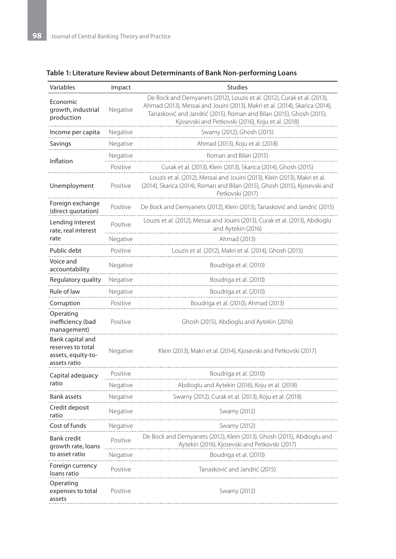#### **Table 1: Literature Review about Determinants of Bank Non-performing Loans**

| Variables                                                                   | Impact        | <b>Studies</b>                                                                                                                                                                                                                                                                         |  |  |
|-----------------------------------------------------------------------------|---------------|----------------------------------------------------------------------------------------------------------------------------------------------------------------------------------------------------------------------------------------------------------------------------------------|--|--|
| Economic<br>growth, industrial<br>production                                | Negative      | De Bock and Demyanets (2012), Louzis et al. (2012), Curak et al. (2013),<br>Ahmad (2013), Messai and Jouini (2013), Makri et al. (2014), Skarica (2014),<br>Tanasković and Jandrić (2015), Roman and Bilan (2015), Ghosh (2015),<br>Kjosevski and Petkovski (2016), Koju et al. (2018) |  |  |
| Income per capita                                                           | Negative      | Swamy (2012), Ghosh (2015)                                                                                                                                                                                                                                                             |  |  |
| Savings                                                                     | Negative      | Ahmad (2013), Koju et al. (2018)                                                                                                                                                                                                                                                       |  |  |
| Inflation                                                                   | Negative      | Roman and Bilan (2015)                                                                                                                                                                                                                                                                 |  |  |
|                                                                             | Positive      | Curak et al. (2013), Klein (2013), Skarica (2014), Ghosh (2015)                                                                                                                                                                                                                        |  |  |
| Unemployment                                                                | Positive      | Louzis et al. (2012), Messai and Jouini (2013), Klein (2013), Makri et al.<br>(2014), Skarica (2014), Roman and Bilan (2015), Ghosh (2015), Kjosevski and<br>Petkovski (2017)                                                                                                          |  |  |
| Foreign exchange<br>(direct quotation)                                      | Positive      | De Bock and Demyanets (2012), Klein (2013), Tanasković and Jandrić (2015)                                                                                                                                                                                                              |  |  |
| Lending interest<br>rate, real interest                                     | Positive<br>. | Louzis et al. (2012), Messai and Jouini (2013), Curak et al. (2013), Abdioglu<br>and Aytekin (2016)                                                                                                                                                                                    |  |  |
| rate                                                                        | Negative      | Ahmad (2013)                                                                                                                                                                                                                                                                           |  |  |
| Public debt                                                                 | Positive      | Louzis et al. (2012), Makri et al. (2014), Ghosh (2015)                                                                                                                                                                                                                                |  |  |
| Voice and<br>accountability                                                 | Negative      | Boudriga et al. (2010)                                                                                                                                                                                                                                                                 |  |  |
| Regulatory quality                                                          | Negative      | Boudriga et al. (2010)                                                                                                                                                                                                                                                                 |  |  |
| Rule of law                                                                 | Negative      | Boudriga et al. (2010)                                                                                                                                                                                                                                                                 |  |  |
| Corruption                                                                  | Positive      | Boudriga et al. (2010), Ahmad (2013)                                                                                                                                                                                                                                                   |  |  |
| Operating<br>inefficiency (bad<br>management)                               | Positive      | Ghosh (2015), Abdioglu and Aytekin (2016)                                                                                                                                                                                                                                              |  |  |
| Bank capital and<br>reserves to total<br>assets, equity-to-<br>assets ratio | Negative      | Klein (2013), Makri et al. (2014), Kjosevski and Petkovski (2017)                                                                                                                                                                                                                      |  |  |
| Capital adequacy                                                            | Positive      | Boudriga et al. (2010)                                                                                                                                                                                                                                                                 |  |  |
| ratio                                                                       | Negative      | Abdioglu and Aytekin (2016), Koju et al. (2018)                                                                                                                                                                                                                                        |  |  |
| Bank assets                                                                 | Negative      | Swamy (2012), Curak et al. (2013), Koju et al. (2018)                                                                                                                                                                                                                                  |  |  |
| Credit deposit<br>ratio                                                     | Negative      | Swamy (2012)                                                                                                                                                                                                                                                                           |  |  |
| Cost of funds                                                               | Negative      | Swamy (2012)                                                                                                                                                                                                                                                                           |  |  |
| <b>Bank credit</b><br>growth rate, loans                                    | Positive<br>. | De Bock and Demyanets (2012), Klein (2013), Ghosh (2015), Abdioglu and<br>Aytekin (2016), Kjosevski and Petkovski (2017)                                                                                                                                                               |  |  |
| to asset ratio                                                              | Negative      | Boudriga et al. (2010)                                                                                                                                                                                                                                                                 |  |  |
| Foreign currency<br>loans ratio                                             | Positive      | Tanasković and Jandrić (2015)                                                                                                                                                                                                                                                          |  |  |
| Operating<br>expenses to total<br>assets                                    | Positive      | Swamy (2012)                                                                                                                                                                                                                                                                           |  |  |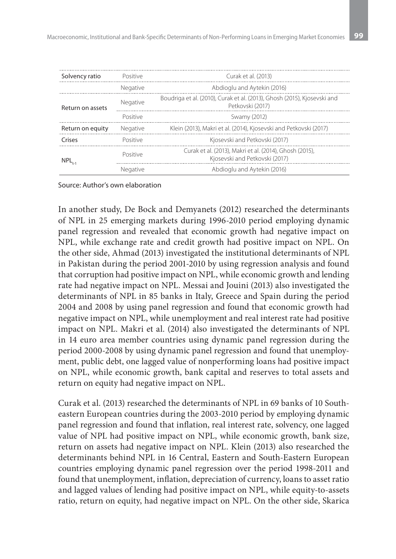| Solvency ratio   | Curak et al. (2013) |                                                                                              |
|------------------|---------------------|----------------------------------------------------------------------------------------------|
|                  | Negative            | Abdioglu and Aytekin (2016)                                                                  |
| Return on assets | Negative            | Boudriga et al. (2010), Curak et al. (2013), Ghosh (2015), Kjosevski and<br>Petkovski (2017) |
|                  | Positive            | Swamy (2012)                                                                                 |
| Return on equity | Negative            | Klein (2013), Makri et al. (2014), Kjosevski and Petkovski (2017)                            |
| Crises           | Positive            | Kjosevski and Petkovski (2017)                                                               |
| NPL.             | Positive            | Curak et al. (2013). Makri et al. (2014). Ghosh (2015).<br>Kjosevski and Petkovski (2017)    |
|                  | Negative            | Abdioglu and Aytekin (2016)                                                                  |

#### Source: Author's own elaboration

In another study, De Bock and Demyanets (2012) researched the determinants of NPL in 25 emerging markets during 1996-2010 period employing dynamic panel regression and revealed that economic growth had negative impact on NPL, while exchange rate and credit growth had positive impact on NPL. On the other side, Ahmad (2013) investigated the institutional determinants of NPL in Pakistan during the period 2001-2010 by using regression analysis and found that corruption had positive impact on NPL, while economic growth and lending rate had negative impact on NPL. Messai and Jouini (2013) also investigated the determinants of NPL in 85 banks in Italy, Greece and Spain during the period 2004 and 2008 by using panel regression and found that economic growth had negative impact on NPL, while unemployment and real interest rate had positive impact on NPL. Makri et al. (2014) also investigated the determinants of NPL in 14 euro area member countries using dynamic panel regression during the period 2000-2008 by using dynamic panel regression and found that unemployment, public debt, one lagged value of nonperforming loans had positive impact on NPL, while economic growth, bank capital and reserves to total assets and return on equity had negative impact on NPL.

Curak et al. (2013) researched the determinants of NPL in 69 banks of 10 Southeastern European countries during the 2003-2010 period by employing dynamic panel regression and found that inflation, real interest rate, solvency, one lagged value of NPL had positive impact on NPL, while economic growth, bank size, return on assets had negative impact on NPL. Klein (2013) also researched the determinants behind NPL in 16 Central, Eastern and South-Eastern European countries employing dynamic panel regression over the period 1998-2011 and found that unemployment, inflation, depreciation of currency, loans to asset ratio and lagged values of lending had positive impact on NPL, while equity-to-assets ratio, return on equity, had negative impact on NPL. On the other side, Skarica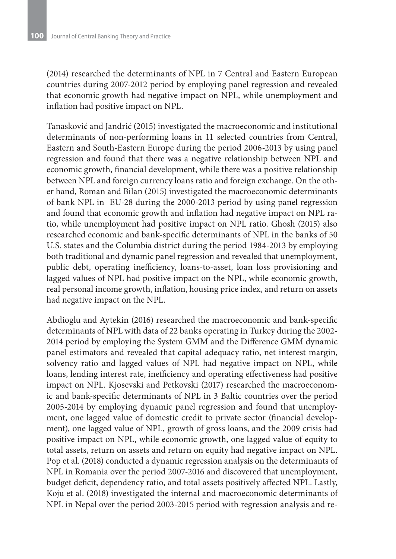(2014) researched the determinants of NPL in 7 Central and Eastern European countries during 2007-2012 period by employing panel regression and revealed that economic growth had negative impact on NPL, while unemployment and inflation had positive impact on NPL.

Tanasković and Jandrić (2015) investigated the macroeconomic and institutional determinants of non-performing loans in 11 selected countries from Central, Eastern and South-Eastern Europe during the period 2006-2013 by using panel regression and found that there was a negative relationship between NPL and economic growth, financial development, while there was a positive relationship between NPL and foreign currency loans ratio and foreign exchange. On the other hand, Roman and Bilan (2015) investigated the macroeconomic determinants of bank NPL in EU-28 during the 2000-2013 period by using panel regression and found that economic growth and inflation had negative impact on NPL ratio, while unemployment had positive impact on NPL ratio. Ghosh (2015) also researched economic and bank-specific determinants of NPL in the banks of 50 U.S. states and the Columbia district during the period 1984-2013 by employing both traditional and dynamic panel regression and revealed that unemployment, public debt, operating inefficiency, loans-to-asset, loan loss provisioning and lagged values of NPL had positive impact on the NPL, while economic growth, real personal income growth, inflation, housing price index, and return on assets had negative impact on the NPL.

Abdioglu and Aytekin (2016) researched the macroeconomic and bank-specific determinants of NPL with data of 22 banks operating in Turkey during the 2002- 2014 period by employing the System GMM and the Difference GMM dynamic panel estimators and revealed that capital adequacy ratio, net interest margin, solvency ratio and lagged values of NPL had negative impact on NPL, while loans, lending interest rate, inefficiency and operating effectiveness had positive impact on NPL. Kjosevski and Petkovski (2017) researched the macroeconomic and bank-specific determinants of NPL in 3 Baltic countries over the period 2005-2014 by employing dynamic panel regression and found that unemployment, one lagged value of domestic credit to private sector (financial development), one lagged value of NPL, growth of gross loans, and the 2009 crisis had positive impact on NPL, while economic growth, one lagged value of equity to total assets, return on assets and return on equity had negative impact on NPL. Pop et al. (2018) conducted a dynamic regression analysis on the determinants of NPL in Romania over the period 2007-2016 and discovered that unemployment, budget deficit, dependency ratio, and total assets positively affected NPL. Lastly, Koju et al. (2018) investigated the internal and macroeconomic determinants of NPL in Nepal over the period 2003-2015 period with regression analysis and re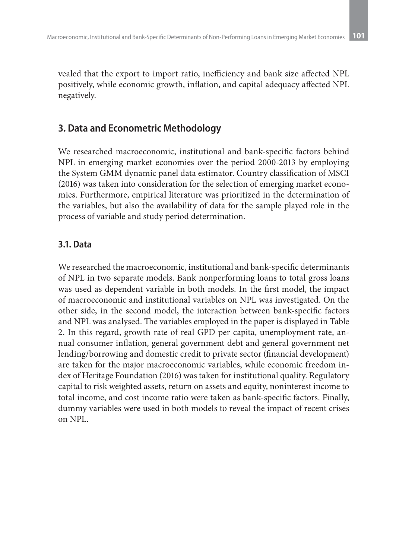vealed that the export to import ratio, inefficiency and bank size affected NPL positively, while economic growth, inflation, and capital adequacy affected NPL negatively.

# **3. Data and Econometric Methodology**

We researched macroeconomic, institutional and bank-specific factors behind NPL in emerging market economies over the period 2000-2013 by employing the System GMM dynamic panel data estimator. Country classification of MSCI (2016) was taken into consideration for the selection of emerging market economies. Furthermore, empirical literature was prioritized in the determination of the variables, but also the availability of data for the sample played role in the process of variable and study period determination.

## **3.1. Data**

We researched the macroeconomic, institutional and bank-specific determinants of NPL in two separate models. Bank nonperforming loans to total gross loans was used as dependent variable in both models. In the first model, the impact of macroeconomic and institutional variables on NPL was investigated. On the other side, in the second model, the interaction between bank-specific factors and NPL was analysed. The variables employed in the paper is displayed in Table 2. In this regard, growth rate of real GPD per capita, unemployment rate, annual consumer inflation, general government debt and general government net lending/borrowing and domestic credit to private sector (financial development) are taken for the major macroeconomic variables, while economic freedom index of Heritage Foundation (2016) was taken for institutional quality. Regulatory capital to risk weighted assets, return on assets and equity, noninterest income to total income, and cost income ratio were taken as bank-specific factors. Finally, dummy variables were used in both models to reveal the impact of recent crises on NPL.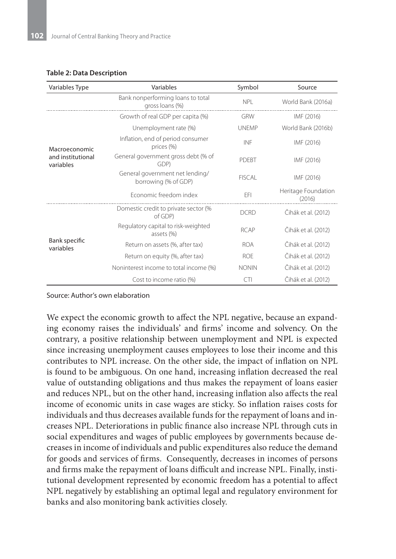#### **Table 2: Data Description**

| Variables Type                 | Variables                                               | Symbol        | Source                        |  |
|--------------------------------|---------------------------------------------------------|---------------|-------------------------------|--|
|                                | Bank nonperforming loans to total<br>gross loans (%)    | <b>NPI</b>    | World Bank (2016a)            |  |
|                                | Growth of real GDP per capita (%)                       | <b>GRW</b>    | IMF (2016)                    |  |
|                                | Unemployment rate (%)                                   | <b>UNEMP</b>  | World Bank (2016b)            |  |
| Macroeconomic                  | Inflation, end of period consumer<br>prices (%)         | INF           | IMF (2016)                    |  |
| and institutional<br>variables | General government gross debt (% of<br>GDP)             | PDFBT         | IMF (2016)                    |  |
|                                | General government net lending/<br>borrowing (% of GDP) | <b>FISCAL</b> | IMF (2016)                    |  |
|                                | Fconomic freedom index                                  | EFI           | Heritage Foundation<br>(2016) |  |
|                                | Domestic credit to private sector (%<br>of GDP)         | <b>DCRD</b>   | Čihák et al. (2012)           |  |
|                                | Regulatory capital to risk-weighted<br>assets (%)       | <b>RCAP</b>   | Čihák et al. (2012)           |  |
| Bank specific<br>variables     | Return on assets (%, after tax)                         | <b>ROA</b>    | Čihák et al. (2012)           |  |
|                                | Return on equity (%, after tax)                         | <b>ROF</b>    | Čihák et al. (2012)           |  |
|                                | Noninterest income to total income (%)                  | <b>NONIN</b>  | Čihák et al. (2012)           |  |
|                                | Cost to income ratio (%)                                | CTI           | Čihák et al. (2012)           |  |

Source: Author's own elaboration

We expect the economic growth to affect the NPL negative, because an expanding economy raises the individuals' and firms' income and solvency. On the contrary, a positive relationship between unemployment and NPL is expected since increasing unemployment causes employees to lose their income and this contributes to NPL increase. On the other side, the impact of inflation on NPL is found to be ambiguous. On one hand, increasing inflation decreased the real value of outstanding obligations and thus makes the repayment of loans easier and reduces NPL, but on the other hand, increasing inflation also affects the real income of economic units in case wages are sticky. So inflation raises costs for individuals and thus decreases available funds for the repayment of loans and increases NPL. Deteriorations in public finance also increase NPL through cuts in social expenditures and wages of public employees by governments because decreases in income of individuals and public expenditures also reduce the demand for goods and services of firms. Consequently, decreases in incomes of persons and firms make the repayment of loans difficult and increase NPL. Finally, institutional development represented by economic freedom has a potential to affect NPL negatively by establishing an optimal legal and regulatory environment for banks and also monitoring bank activities closely.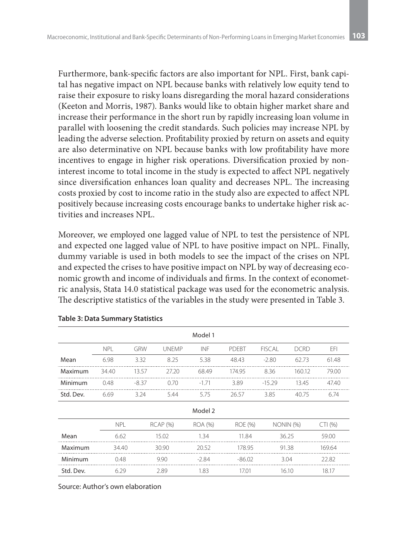Furthermore, bank-specific factors are also important for NPL. First, bank capital has negative impact on NPL because banks with relatively low equity tend to raise their exposure to risky loans disregarding the moral hazard considerations (Keeton and Morris, 1987). Banks would like to obtain higher market share and increase their performance in the short run by rapidly increasing loan volume in parallel with loosening the credit standards. Such policies may increase NPL by leading the adverse selection. Profitability proxied by return on assets and equity are also determinative on NPL because banks with low profitability have more incentives to engage in higher risk operations. Diversification proxied by noninterest income to total income in the study is expected to affect NPL negatively since diversification enhances loan quality and decreases NPL. The increasing costs proxied by cost to income ratio in the study also are expected to affect NPL positively because increasing costs encourage banks to undertake higher risk activities and increases NPL.

Moreover, we employed one lagged value of NPL to test the persistence of NPL and expected one lagged value of NPL to have positive impact on NPL. Finally, dummy variable is used in both models to see the impact of the crises on NPL and expected the crises to have positive impact on NPL by way of decreasing economic growth and income of individuals and firms. In the context of econometric analysis, Stata 14.0 statistical package was used for the econometric analysis. The descriptive statistics of the variables in the study were presented in Table 3.

| Model 1   |            |         |                 |         |          |               |             |        |
|-----------|------------|---------|-----------------|---------|----------|---------------|-------------|--------|
|           | <b>NPL</b> | GRW     | <b>UNFMP</b>    | INF     | PDEBT    | <b>FISCAL</b> | <b>DCRD</b> | EFI    |
| Mean      | 6.98       | 3.32    | 8.25            | 5.38    | 48.43    | $-2.80$       | 62.73       | 61.48  |
| Maximum   | 34.40      | 13.57   | 27.20           | 68.49   | 174.95   | 8.36          | 160.12      | 79.00  |
| Minimum   | 0.48       | $-8.37$ | 0.70            | $-1.71$ | 3.89     | $-15.29$      | 13.45       | 47.40  |
| Std. Dev. | 6.69       | 3.24    | 5.44            | 5.75    | 26.57    | 3.85          | 40.75       | 6.74   |
| Model 2   |            |         |                 |         |          |               |             |        |
|           | <b>NPL</b> |         | <b>RCAP (%)</b> | ROA (%) | ROE (%)  |               | NONIN (%)   | CTI(%) |
| Mean      | 6.62       |         | 15.02           | 1.34    | 11.84    |               | 36.25       | 59.00  |
| Maximum   | 34.40      |         | 30.90           | 20.52   | 178.95   |               | 91.38       | 169.64 |
| Minimum   | 0.48       |         | 9.90            | $-2.84$ | $-86.02$ |               | 3.04        | 22.82  |
| Std. Dev. | 6.29       |         | 2.89            | 1.83    | 17.01    |               | 16.10       | 18.17  |

**Table 3: Data Summary Statistics**

Source: Author's own elaboration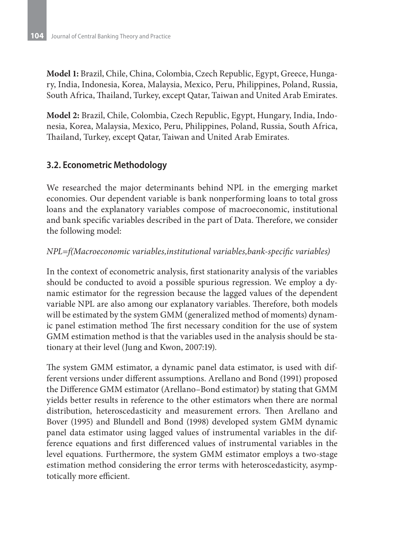**Model 1:** Brazil, Chile, China, Colombia, Czech Republic, Egypt, Greece, Hungary, India, Indonesia, Korea, Malaysia, Mexico, Peru, Philippines, Poland, Russia, South Africa, Thailand, Turkey, except Qatar, Taiwan and United Arab Emirates.

**Model 2:** Brazil, Chile, Colombia, Czech Republic, Egypt, Hungary, India, Indonesia, Korea, Malaysia, Mexico, Peru, Philippines, Poland, Russia, South Africa, Thailand, Turkey, except Qatar, Taiwan and United Arab Emirates.

# **3.2. Econometric Methodology**

We researched the major determinants behind NPL in the emerging market economies. Our dependent variable is bank nonperforming loans to total gross loans and the explanatory variables compose of macroeconomic, institutional and bank specific variables described in the part of Data. Therefore, we consider the following model:

#### *NPL=f(Macroeconomic variables,institutional variables,bank-specific variables)*

In the context of econometric analysis, first stationarity analysis of the variables should be conducted to avoid a possible spurious regression. We employ a dynamic estimator for the regression because the lagged values of the dependent variable NPL are also among our explanatory variables. Therefore, both models will be estimated by the system GMM (generalized method of moments) dynamic panel estimation method The first necessary condition for the use of system GMM estimation method is that the variables used in the analysis should be stationary at their level (Jung and Kwon, 2007:19).

The system GMM estimator, a dynamic panel data estimator, is used with different versions under different assumptions. Arellano and Bond (1991) proposed the Difference GMM estimator (Arellano–Bond estimator) by stating that GMM yields better results in reference to the other estimators when there are normal distribution, heteroscedasticity and measurement errors. Then Arellano and Bover (1995) and Blundell and Bond (1998) developed system GMM dynamic panel data estimator using lagged values of instrumental variables in the difference equations and first differenced values of instrumental variables in the level equations. Furthermore, the system GMM estimator employs a two-stage estimation method considering the error terms with heteroscedasticity, asymptotically more efficient.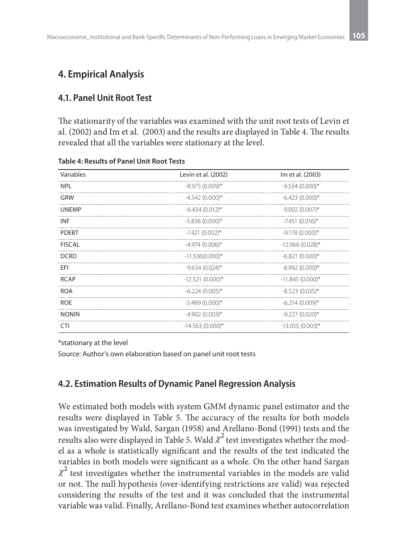# **4. Empirical Analysis**

### **4.1. Panel Unit Root Test**

The stationarity of the variables was examined with the unit root tests of Levin et al. (2002) and Im et al. (2003) and the results are displayed in Table 4. The results revealed that all the variables were stationary at the level.

| Variables     | Levin et al. (2002) | Im et al. (2003)   |
|---------------|---------------------|--------------------|
| <b>NPL</b>    | $-8.975(0.009)$ *   | $-9.534(0.000)*$   |
| GRW           | $-4.542(0.000)*$    | $-6.423(0.000)*$   |
| <b>UNEMP</b>  | $-6.434(0.012)$ *   | $-9.002(0.007)*$   |
| <b>INF</b>    | $-5.836(0.000)*$    | $-7.451(0.016)$ *  |
| <b>PDEBT</b>  | $-7.421(0.002)$ *   | $-9.178(0.000)*$   |
| <b>FISCAL</b> | $-4.974(0.006)$ *   | $-12.066(0.028)$ * |
| <b>DCRD</b>   | $-11.536(0.000)*$   | $-6.821(0.000)*$   |
| EFI           | $-9.634(0.024)$ *   | $-8.992(0.000)*$   |
| <b>RCAP</b>   | $-12.521(0.000)*$   | $-11.845(0.000)*$  |
| <b>ROA</b>    | $-6.224(0.005)$ *   | $-8.523(0.035)$ *  |
| <b>ROE</b>    | $-5.489(0.000)*$    | $-6.314(0.009)$ *  |
| <b>NONIN</b>  | $-4.902(0.003)*$    | $-9.227(0.020)$ *  |
| CTI           | $-14.563(0.000)*$   | $-13.055(0.003)$ * |

**Table 4: Results of Panel Unit Root Tests**

\*stationary at the level

Source: Author's own elaboration based on panel unit root tests

### **4.2. Estimation Results of Dynamic Panel Regression Analysis**

We estimated both models with system GMM dynamic panel estimator and the results were displayed in Table 5. The accuracy of the results for both models was investigated by Wald, Sargan (1958) and Arellano-Bond (1991) tests and the results also were displayed in Table 5. Wald  $\chi^2$  test investigates whether the model as a whole is statistically significant and the results of the test indicated the variables in both models were significant as a whole. On the other hand Sargan  $x^2$  test investigates whether the instrumental variables in the models are valid or not. The null hypothesis (over-identifying restrictions are valid) was rejected considering the results of the test and it was concluded that the instrumental variable was valid. Finally, Arellano-Bond test examines whether autocorrelation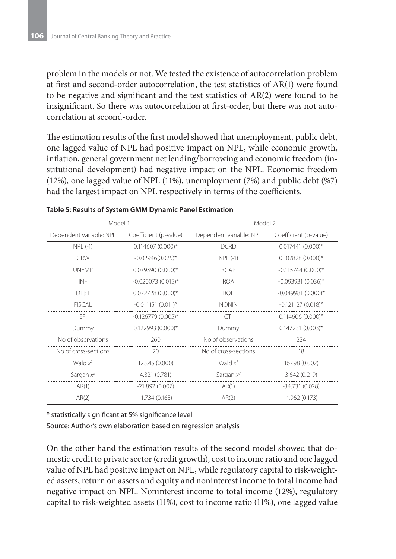problem in the models or not. We tested the existence of autocorrelation problem at first and second-order autocorrelation, the test statistics of AR(1) were found to be negative and significant and the test statistics of AR(2) were found to be insignificant. So there was autocorrelation at first-order, but there was not autocorrelation at second-order.

The estimation results of the first model showed that unemployment, public debt, one lagged value of NPL had positive impact on NPL, while economic growth, inflation, general government net lending/borrowing and economic freedom (institutional development) had negative impact on the NPL. Economic freedom (12%), one lagged value of NPL (11%), unemployment (7%) and public debt (%7) had the largest impact on NPL respectively in terms of the coefficients.

| Model 1                 |                        | Model 2                 |                       |  |
|-------------------------|------------------------|-------------------------|-----------------------|--|
| Dependent variable: NPL | Coefficient (p-value)  | Dependent variable: NPL | Coefficient (p-value) |  |
| $NPL(-1)$               | $0.114607(0.000)*$     | <b>DCRD</b>             | $0.017441(0.000)*$    |  |
| GRW                     | $-0.02946(0.025)$ *    | $NPL(-1)$               | $0.107828(0.000)*$    |  |
| <b>UNFMP</b>            | $0.079390(0.000)*$     | <b>RCAP</b>             | $-0.115744(0.000)*$   |  |
| INF                     | $-0.020073(0.015)^*$   | <b>ROA</b>              | $-0.093931(0.036)$ *  |  |
| <b>DFBT</b>             | $0.072728(0.000)*$     | <b>ROE</b>              | $-0.049981(0.000)*$   |  |
| <b>FISCAL</b>           | $-0.011151(0.011)^{*}$ | <b>NONIN</b>            | $-0.121127(0.018)$ *  |  |
| FFI                     | $-0.126779(0.005)$ *   | CTI.                    | $0.114606(0.000)*$    |  |
| Dummy                   | $0.122993(0.000)*$     | Dummy                   | $0.147231(0.003)*$    |  |
| No of observations      | 260                    | No of observations      | 234                   |  |
| No of cross-sections    | 20                     | No of cross-sections    | 18                    |  |
| Wald $x^2$              | 123.45 (0.000)         | Wald $x^2$              | 167.98 (0.002)        |  |
| Sargan $x^2$            | 4.321 (0.781)          | Sargan $x^2$            | 3.642(0.219)          |  |
| AR(1)                   | $-21.892(0.007)$       | AR(1)                   | $-34.731(0.028)$      |  |
| AR(2)                   | $-1.734(0.163)$        | AR(2)                   | $-1.962(0.173)$       |  |

#### **Table 5: Results of System GMM Dynamic Panel Estimation**

\* statistically significant at 5% significance level

Source: Author's own elaboration based on regression analysis

On the other hand the estimation results of the second model showed that domestic credit to private sector (credit growth), cost to income ratio and one lagged value of NPL had positive impact on NPL, while regulatory capital to risk-weighted assets, return on assets and equity and noninterest income to total income had negative impact on NPL. Noninterest income to total income (12%), regulatory capital to risk-weighted assets (11%), cost to income ratio (11%), one lagged value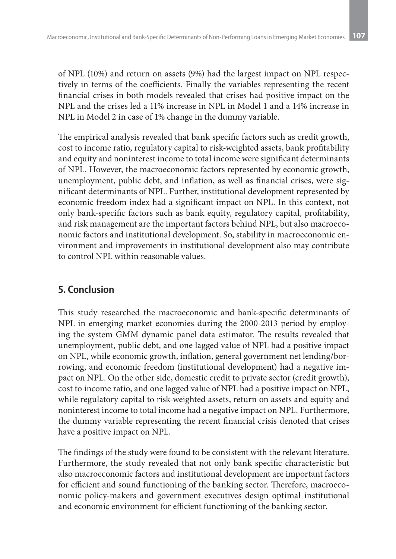of NPL (10%) and return on assets (9%) had the largest impact on NPL respectively in terms of the coefficients. Finally the variables representing the recent financial crises in both models revealed that crises had positive impact on the NPL and the crises led a 11% increase in NPL in Model 1 and a 14% increase in NPL in Model 2 in case of 1% change in the dummy variable.

The empirical analysis revealed that bank specific factors such as credit growth, cost to income ratio, regulatory capital to risk-weighted assets, bank profitability and equity and noninterest income to total income were significant determinants of NPL. However, the macroeconomic factors represented by economic growth, unemployment, public debt, and inflation, as well as financial crises, were significant determinants of NPL. Further, institutional development represented by economic freedom index had a significant impact on NPL. In this context, not only bank-specific factors such as bank equity, regulatory capital, profitability, and risk management are the important factors behind NPL, but also macroeconomic factors and institutional development. So, stability in macroeconomic environment and improvements in institutional development also may contribute to control NPL within reasonable values.

# **5. Conclusion**

This study researched the macroeconomic and bank-specific determinants of NPL in emerging market economies during the 2000-2013 period by employing the system GMM dynamic panel data estimator. The results revealed that unemployment, public debt, and one lagged value of NPL had a positive impact on NPL, while economic growth, inflation, general government net lending/borrowing, and economic freedom (institutional development) had a negative impact on NPL. On the other side, domestic credit to private sector (credit growth), cost to income ratio, and one lagged value of NPL had a positive impact on NPL, while regulatory capital to risk-weighted assets, return on assets and equity and noninterest income to total income had a negative impact on NPL. Furthermore, the dummy variable representing the recent financial crisis denoted that crises have a positive impact on NPL.

The findings of the study were found to be consistent with the relevant literature. Furthermore, the study revealed that not only bank specific characteristic but also macroeconomic factors and institutional development are important factors for efficient and sound functioning of the banking sector. Therefore, macroeconomic policy-makers and government executives design optimal institutional and economic environment for efficient functioning of the banking sector.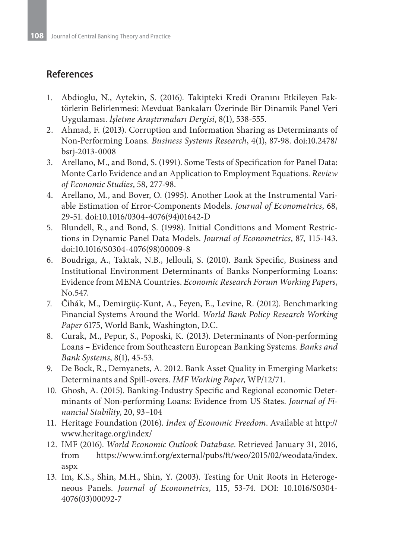# **References**

- 1. Abdioglu, N., Aytekin, S. (2016). Takipteki Kredi Oranını Etkileyen Faktörlerin Belirlenmesi: Mevduat Bankaları Üzerinde Bir Dinamik Panel Veri Uygulaması. *İşletme Araştırmaları Dergisi*, 8(1), 538-555.
- 2. Ahmad, F. (2013). Corruption and Information Sharing as Determinants of Non-Performing Loans. *Business Systems Research*, 4(1), 87-98. doi:10.2478/ bsrj-2013-0008
- 3. Arellano, M., and Bond, S. (1991). Some Tests of Specification for Panel Data: Monte Carlo Evidence and an Application to Employment Equations. *Review of Economic Studies*, 58, 277-98.
- 4. Arellano, M., and Bover, O. (1995). Another Look at the Instrumental Variable Estimation of Error-Components Models. *Journal of Econometrics*, 68, 29-51. doi:10.1016/0304-4076(94)01642-D
- 5. Blundell, R., and Bond, S. (1998). Initial Conditions and Moment Restrictions in Dynamic Panel Data Models. *Journal of Econometrics*, 87, 115-143. doi:10.1016/S0304-4076(98)00009-8
- 6. Boudriga, A., Taktak, N.B., Jellouli, S. (2010). Bank Specific, Business and Institutional Environment Determinants of Banks Nonperforming Loans: Evidence from MENA Countries. *Economic Research Forum Working Papers*, No.547.
- 7. Čihák, M., Demirgüç-Kunt, A., Feyen, E., Levine, R. (2012). Benchmarking Financial Systems Around the World. *World Bank Policy Research Working Paper* 6175, World Bank, Washington, D.C.
- 8. Curak, M., Pepur, S., Poposki, K. (2013). Determinants of Non-performing Loans – Evidence from Southeastern European Banking Systems. *Banks and Bank Systems*, 8(1), 45-53.
- 9. De Bock, R., Demyanets, A. 2012. Bank Asset Quality in Emerging Markets: Determinants and Spill-overs. *IMF Working Paper*, WP/12/71.
- 10. Ghosh, A. (2015). Banking-Industry Specific and Regional economic Determinants of Non-performing Loans: Evidence from US States. *Journal of Financial Stability*, 20, 93–104
- 11. Heritage Foundation (2016). *Index of Economic Freedom*. Available at http:// www.heritage.org/index/
- 12. IMF (2016). *World Economic Outlook Database*. Retrieved January 31, 2016, from https://www.imf.org/external/pubs/ft/weo/2015/02/weodata/index. aspx
- 13. Im, K.S., Shin, M.H., Shin, Y. (2003). Testing for Unit Roots in Heterogeneous Panels. *Journal of Econometrics*, 115, 53-74. DOI: 10.1016/S0304- 4076(03)00092-7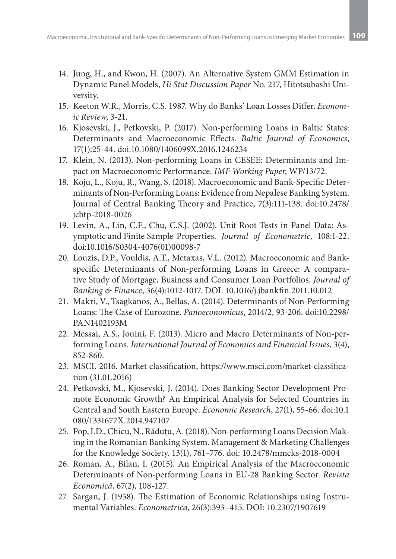- 14. Jung, H., and Kwon, H. (2007). An Alternative System GMM Estimation in Dynamic Panel Models, *Hi Stat Discussion Paper* No. 217, Hitotsubashi University.
- 15. Keeton W.R., Morris, C.S. 1987. Why do Banks' Loan Losses Differ. *Economic Review*, 3-21.
- 16. Kjosevski, J., Petkovski, P. (2017). Non-performing Loans in Baltic States: Determinants and Macroeconomic Effects. *Baltic Journal of Economics*, 17(1):25-44. doi:10.1080/1406099X.2016.1246234
- 17. Klein, N. (2013). Non-performing Loans in CESEE: Determinants and Impact on Macroeconomic Performance. *IMF Working Paper*, WP/13/72.
- 18. Koju, L., Koju, R., Wang, S. (2018). Macroeconomic and Bank-Specific Determinants of Non-Performing Loans: Evidence from Nepalese Banking System. Journal of Central Banking Theory and Practice, 7(3):111-138. doi:10.2478/ jcbtp-2018-0026
- 19. Levin, A., Lin, C.F., Chu, C.S.J. (2002). Unit Root Tests in Panel Data: Asymptotic and Finite Sample Properties. *Journal of Econometric*, 108:1-22. doi:10.1016/S0304-4076(01)00098-7
- 20. Louzis, D.P., Vouldis, A.T., Metaxas, V.L. (2012). Macroeconomic and Bankspecific Determinants of Non-performing Loans in Greece: A comparative Study of Mortgage, Business and Consumer Loan Portfolios. *Journal of Banking & Finance*, 36(4):1012-1017. DOI: 10.1016/j.jbankfin.2011.10.012
- 21. Makri, V., Tsagkanos, A., Bellas, A. (2014). Determinants of Non-Performing Loans: The Case of Eurozone. *Panoeconomicus*, 2014/2, 93-206. doi:10.2298/ PAN1402193M
- 22. Messai, A.S., Jouini, F. (2013). Micro and Macro Determinants of Non-performing Loans. *International Journal of Economics and Financial Issues*, 3(4), 852-860.
- 23. MSCI. 2016. Market classification, https://www.msci.com/market-classification (31.01.2016)
- 24. Petkovski, M., Kjosevski, J. (2014). Does Banking Sector Development Promote Economic Growth? An Empirical Analysis for Selected Countries in Central and South Eastern Europe. *Economic Research*, 27(1), 55-66. doi:10.1 080/1331677X.2014.947107
- 25. Pop, I.D., Chicu, N., Răduțu, A. (2018). Non-performing Loans Decision Making in the Romanian Banking System. Management & Marketing Challenges for the Knowledge Society. 13(1), 761–776. doi: 10.2478/mmcks-2018-0004
- 26. Roman, A., Bilan, I. (2015). An Empirical Analysis of the Macroeconomic Determinants of Non-performing Loans in EU-28 Banking Sector. *Revista Economică*, 67(2), 108-127.
- 27. Sargan, J. (1958). The Estimation of Economic Relationships using Instrumental Variables. *Econometrica*, 26(3):393–415. DOI: 10.2307/1907619